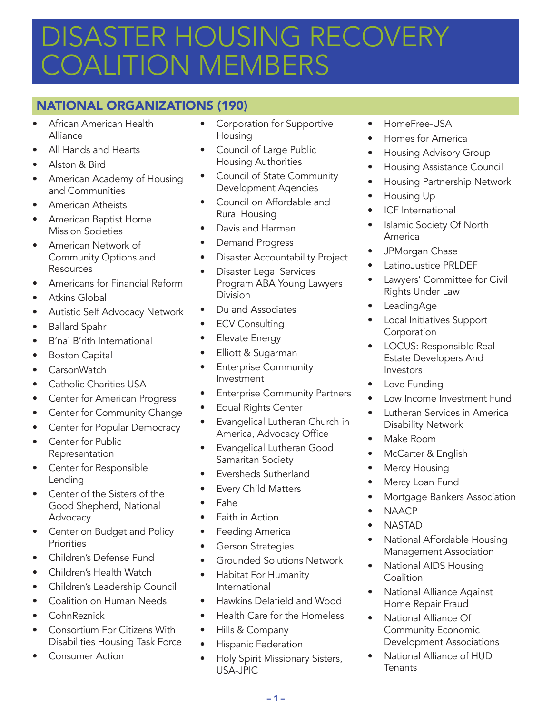# DISASTER HOUSING RECOVERY OALITION MEMBERS

# NATIONAL ORGANIZATIONS (190)

- African American Health Alliance
- All Hands and Hearts
- Alston & Bird
- American Academy of Housing and Communities
- American Atheists
- American Baptist Home Mission Societies
- American Network of Community Options and Resources
- Americans for Financial Reform
- Atkins Global
- Autistic Self Advocacy Network
- Ballard Spahr
- B'nai B'rith International
- **Boston Capital**
- CarsonWatch
- Catholic Charities USA
- Center for American Progress
- Center for Community Change
- Center for Popular Democracy
- Center for Public Representation
- Center for Responsible Lending
- Center of the Sisters of the Good Shepherd, National Advocacy
- Center on Budget and Policy **Priorities**
- Children's Defense Fund
- Children's Health Watch
- Children's Leadership Council
- Coalition on Human Needs
- CohnReznick
- Consortium For Citizens With Disabilities Housing Task Force
- Consumer Action
- Corporation for Supportive **Housing**
- Council of Large Public Housing Authorities
- Council of State Community Development Agencies
- Council on Affordable and Rural Housing
- Davis and Harman
- Demand Progress
- Disaster Accountability Project
- Disaster Legal Services Program ABA Young Lawyers Division
- Du and Associates
- ECV Consulting
- Elevate Energy
- Elliott & Sugarman
- Enterprise Community Investment
- **Enterprise Community Partners**
- Equal Rights Center
- Evangelical Lutheran Church in America, Advocacy Office
- Evangelical Lutheran Good Samaritan Society
- Eversheds Sutherland
- Every Child Matters
- Fahe
- Faith in Action
- Feeding America
- Gerson Strategies
- Grounded Solutions Network
- Habitat For Humanity International
- Hawkins Delafield and Wood
- Health Care for the Homeless
- Hills & Company
- Hispanic Federation
- Holy Spirit Missionary Sisters, USA-JPIC
- HomeFree-USA
- Homes for America
- Housing Advisory Group
- Housing Assistance Council
- Housing Partnership Network
- Housing Up
- ICF International
- Islamic Society Of North America
- JPMorgan Chase
- LatinoJustice PRLDEF
- Lawyers' Committee for Civil Rights Under Law
- LeadingAge
- Local Initiatives Support **Corporation**
- LOCUS: Responsible Real Estate Developers And Investors
- Love Funding
- Low Income Investment Fund
- Lutheran Services in America Disability Network
- Make Room
- McCarter & English
- Mercy Housing
- Mercy Loan Fund
- Mortgage Bankers Association
- NAACP
- NASTAD
- National Affordable Housing Management Association
- National AIDS Housing **Coalition**
- National Alliance Against Home Repair Fraud
- National Alliance Of Community Economic Development Associations
- National Alliance of HUD **Tenants**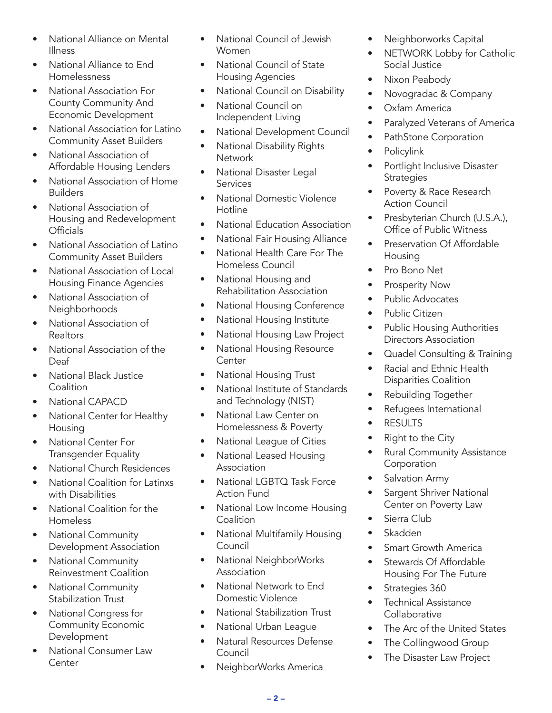- National Alliance on Mental Illness
- National Alliance to End Homelessness
- National Association For County Community And Economic Development
- National Association for Latino Community Asset Builders
- National Association of Affordable Housing Lenders
- National Association of Home Builders
- National Association of Housing and Redevelopment **Officials**
- National Association of Latino Community Asset Builders
- National Association of Local Housing Finance Agencies
- National Association of Neighborhoods
- National Association of Realtors
- National Association of the Deaf
- National Black Justice **Coalition**
- National CAPACD
- National Center for Healthy Housing
- National Center For Transgender Equality
- National Church Residences
- National Coalition for Latinxs with Disabilities
- National Coalition for the Homeless
- National Community Development Association
- National Community Reinvestment Coalition
- National Community Stabilization Trust
- National Congress for Community Economic Development
- National Consumer Law **Center**
- National Council of Jewish Women
- National Council of State Housing Agencies
- National Council on Disability
- National Council on Independent Living
- National Development Council
- National Disability Rights **Network**
- National Disaster Legal Services
- National Domestic Violence Hotline
- National Education Association
- National Fair Housing Alliance
- National Health Care For The Homeless Council
- National Housing and Rehabilitation Association
- National Housing Conference
- National Housing Institute
- National Housing Law Project
- National Housing Resource **Center**
- National Housing Trust
- National Institute of Standards and Technology (NIST)
- National Law Center on Homelessness & Poverty
- National League of Cities
- National Leased Housing Association
- National LGBTQ Task Force Action Fund
- National Low Income Housing **Coalition**
- National Multifamily Housing Council
- National NeighborWorks **Association**
- National Network to End Domestic Violence
- National Stabilization Trust
- National Urban League
- Natural Resources Defense Council
- NeighborWorks America
- Neighborworks Capital
- NETWORK Lobby for Catholic Social Justice
- Nixon Peabody
- Novogradac & Company
- Oxfam America
- Paralyzed Veterans of America
- PathStone Corporation
- Policylink
- Portlight Inclusive Disaster **Strategies**
- Poverty & Race Research Action Council
- Presbyterian Church (U.S.A.), Office of Public Witness
- Preservation Of Affordable Housing
- Pro Bono Net
- Prosperity Now
- Public Advocates
- Public Citizen
- Public Housing Authorities Directors Association
- Quadel Consulting & Training
- Racial and Ethnic Health Disparities Coalition
- Rebuilding Together
- Refugees International
- **RESULTS**
- Right to the City
- Rural Community Assistance **Corporation**
- Salvation Army
- Sargent Shriver National Center on Poverty Law
- Sierra Club
- Skadden
- Smart Growth America
- Stewards Of Affordable Housing For The Future
- Strategies 360
- Technical Assistance **Collaborative**
- The Arc of the United States
- The Collingwood Group
- The Disaster Law Project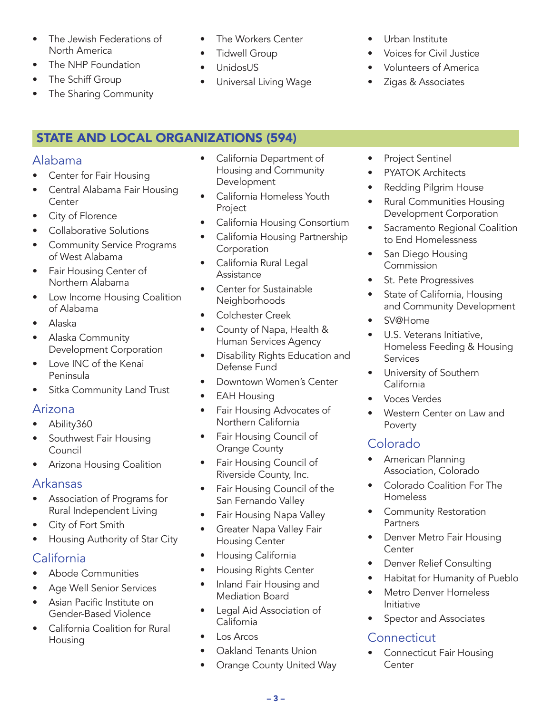- The Jewish Federations of North America
- The NHP Foundation
- The Schiff Group
- The Sharing Community
- The Workers Center
- Tidwell Group
- UnidosUS
- Universal Living Wage
- Urban Institute
- Voices for Civil Justice
- Volunteers of America
- Zigas & Associates

# STATE AND LOCAL ORGANIZATIONS (594)

# Alabama

- Center for Fair Housing
- Central Alabama Fair Housing **Center**
- City of Florence
- Collaborative Solutions
- Community Service Programs of West Alabama
- Fair Housing Center of Northern Alabama
- Low Income Housing Coalition of Alabama
- Alaska
- Alaska Community Development Corporation
- Love INC of the Kenai Peninsula
- Sitka Community Land Trust

# Arizona

- Ability360
- Southwest Fair Housing Council
- Arizona Housing Coalition

# Arkansas

- Association of Programs for Rural Independent Living
- City of Fort Smith
- Housing Authority of Star City

# California

- Abode Communities
- Age Well Senior Services
- Asian Pacific Institute on Gender-Based Violence
- California Coalition for Rural Housing
- California Department of Housing and Community Development
- California Homeless Youth Project
- California Housing Consortium
- California Housing Partnership Corporation
- California Rural Legal Assistance
- Center for Sustainable **Neighborhoods**
- Colchester Creek
- County of Napa, Health & Human Services Agency
- Disability Rights Education and Defense Fund
- Downtown Women's Center
- EAH Housing
- Fair Housing Advocates of Northern California
- Fair Housing Council of Orange County
- Fair Housing Council of Riverside County, Inc.
- Fair Housing Council of the San Fernando Valley
- Fair Housing Napa Valley
- Greater Napa Valley Fair Housing Center
- Housing California
- Housing Rights Center
- Inland Fair Housing and Mediation Board
- Legal Aid Association of California
- Los Arcos
- Oakland Tenants Union
- Orange County United Way
- Project Sentinel
- PYATOK Architects
- Redding Pilgrim House
- Rural Communities Housing Development Corporation
- Sacramento Regional Coalition to End Homelessness
- San Diego Housing Commission
- St. Pete Progressives
- State of California, Housing and Community Development
- SV@Home
- U.S. Veterans Initiative, Homeless Feeding & Housing **Services**
- University of Southern California
- Voces Verdes
- Western Center on Law and Poverty

# Colorado

- American Planning Association, Colorado
- Colorado Coalition For The Homeless
- Community Restoration **Partners**
- Denver Metro Fair Housing **Center**
- Denver Relief Consulting
- Habitat for Humanity of Pueblo
- Metro Denver Homeless Initiative
- Spector and Associates

# **Connecticut**

• Connecticut Fair Housing **Center**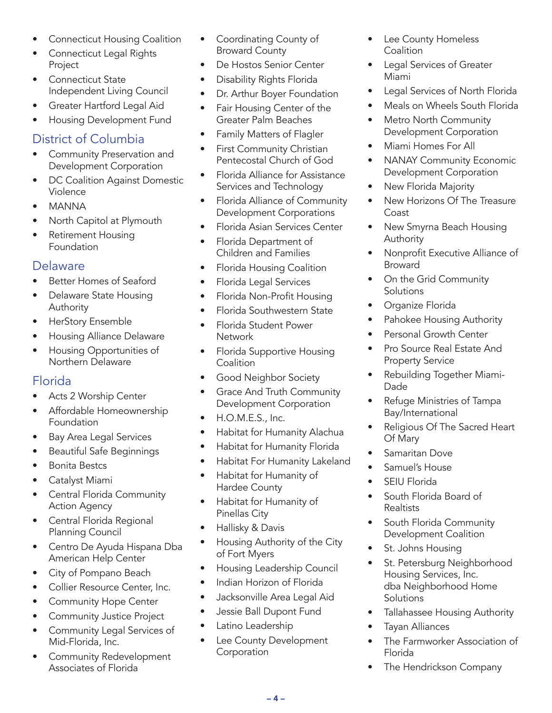- Connecticut Housing Coalition
- Connecticut Legal Rights Project
- Connecticut State Independent Living Council
- Greater Hartford Legal Aid
- Housing Development Fund

# District of Columbia

- Community Preservation and Development Corporation
- DC Coalition Against Domestic Violence
- MANNA
- North Capitol at Plymouth
- Retirement Housing Foundation

# **Delaware**

- Better Homes of Seaford
- Delaware State Housing Authority
- HerStory Ensemble
- Housing Alliance Delaware
- Housing Opportunities of Northern Delaware

# Florida

- Acts 2 Worship Center
- Affordable Homeownership Foundation
- Bay Area Legal Services
- Beautiful Safe Beginnings
- Bonita Bestcs
- Catalyst Miami
- Central Florida Community Action Agency
- Central Florida Regional Planning Council
- Centro De Ayuda Hispana Dba American Help Center
- City of Pompano Beach
- Collier Resource Center, Inc.
- Community Hope Center
- Community Justice Project
- Community Legal Services of Mid-Florida, Inc.
- Community Redevelopment Associates of Florida
- Coordinating County of Broward County
- De Hostos Senior Center
- Disability Rights Florida
- Dr. Arthur Boyer Foundation
- Fair Housing Center of the Greater Palm Beaches
- Family Matters of Flagler
- First Community Christian Pentecostal Church of God
- Florida Alliance for Assistance Services and Technology
- Florida Alliance of Community Development Corporations
- Florida Asian Services Center
- Florida Department of Children and Families
- Florida Housing Coalition
- Florida Legal Services
- Florida Non-Profit Housing
- Florida Southwestern State
- Florida Student Power **Network**
- Florida Supportive Housing **Coalition**
- Good Neighbor Society
- Grace And Truth Community Development Corporation
- H.O.M.E.S., Inc.
- Habitat for Humanity Alachua
- Habitat for Humanity Florida
- Habitat For Humanity Lakeland
- Habitat for Humanity of Hardee County
- Habitat for Humanity of Pinellas City
- Hallisky & Davis
- Housing Authority of the City of Fort Myers
- Housing Leadership Council
- Indian Horizon of Florida
- Jacksonville Area Legal Aid
- Jessie Ball Dupont Fund
- Latino Leadership
- Lee County Development Corporation
- Lee County Homeless **Coalition**
- Legal Services of Greater Miami
- Legal Services of North Florida
- Meals on Wheels South Florida
- Metro North Community Development Corporation
- Miami Homes For All
- NANAY Community Economic Development Corporation
- New Florida Majority
- New Horizons Of The Treasure Coast
- New Smyrna Beach Housing Authority
- Nonprofit Executive Alliance of Broward
- On the Grid Community **Solutions**
- Organize Florida
- Pahokee Housing Authority
- Personal Growth Center
- Pro Source Real Estate And Property Service
- Rebuilding Together Miami-Dade
- Refuge Ministries of Tampa Bay/International
- Religious Of The Sacred Heart Of Mary
- Samaritan Dove
- Samuel's House
- SEIU Florida
- South Florida Board of **Realtists**
- South Florida Community Development Coalition
- St. Johns Housing
- St. Petersburg Neighborhood Housing Services, Inc. dba Neighborhood Home **Solutions**
- Tallahassee Housing Authority
- Tayan Alliances
- The Farmworker Association of Florida
- The Hendrickson Company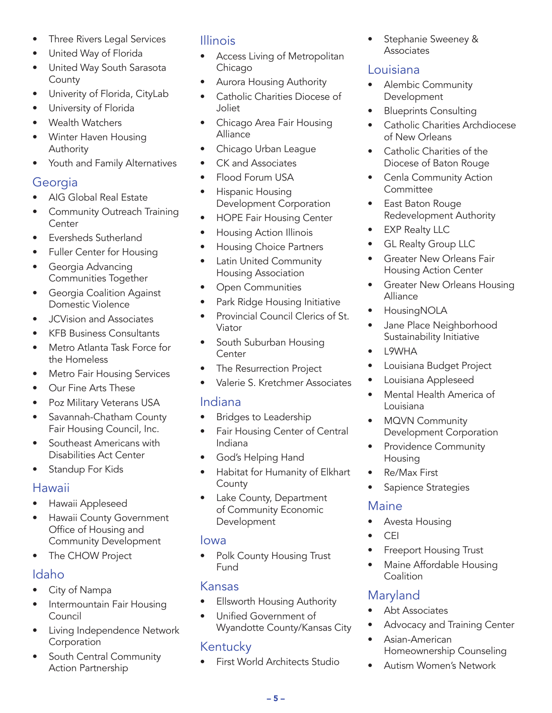- Three Rivers Legal Services
- United Way of Florida
- United Way South Sarasota County
- Univerity of Florida, CityLab
- University of Florida
- Wealth Watchers
- Winter Haven Housing Authority
- Youth and Family Alternatives

# Georgia

- AIG Global Real Estate
- Community Outreach Training Center
- Eversheds Sutherland
- Fuller Center for Housing
- Georgia Advancing Communities Together
- Georgia Coalition Against Domestic Violence
- JCVision and Associates
- KFB Business Consultants
- Metro Atlanta Task Force for the Homeless
- Metro Fair Housing Services
- Our Fine Arts These
- Poz Military Veterans USA
- Savannah-Chatham County Fair Housing Council, Inc.
- Southeast Americans with Disabilities Act Center
- Standup For Kids

#### Hawaii

- Hawaii Appleseed
- Hawaii County Government Office of Housing and Community Development
- The CHOW Project

# Idaho

- City of Nampa
- Intermountain Fair Housing Council
- Living Independence Network Corporation
- South Central Community Action Partnership

# Illinois

- Access Living of Metropolitan Chicago
- Aurora Housing Authority
- Catholic Charities Diocese of Joliet
- Chicago Area Fair Housing Alliance
- Chicago Urban League
- CK and Associates
- Flood Forum USA
- Hispanic Housing Development Corporation
- HOPE Fair Housing Center
- Housing Action Illinois
- Housing Choice Partners
- Latin United Community Housing Association
- Open Communities
- Park Ridge Housing Initiative
- Provincial Council Clerics of St. Viator
- South Suburban Housing **Center**
- The Resurrection Project
- Valerie S. Kretchmer Associates

#### Indiana

- Bridges to Leadership
- Fair Housing Center of Central Indiana
- God's Helping Hand
- Habitat for Humanity of Elkhart **County**
- Lake County, Department of Community Economic Development

#### Iowa

• Polk County Housing Trust Fund

# Kansas

- **Ellsworth Housing Authority**
- Unified Government of Wyandotte County/Kansas City

# Kentucky

• First World Architects Studio

• Stephanie Sweeney & **Associates** 

# Louisiana

- Alembic Community Development
- Blueprints Consulting
- **Catholic Charities Archdiocese** of New Orleans
- Catholic Charities of the Diocese of Baton Rouge
- Cenla Community Action **Committee**
- East Baton Rouge Redevelopment Authority
- **EXP Realty LLC**
- GL Realty Group LLC
- Greater New Orleans Fair Housing Action Center
- Greater New Orleans Housing Alliance
- HousingNOLA
- Jane Place Neighborhood Sustainability Initiative
- L9WHA
- Louisiana Budget Project
- Louisiana Appleseed
- Mental Health America of Louisiana
- MQVN Community Development Corporation
- Providence Community Housing
- Re/Max First
- Sapience Strategies

#### Maine

- Avesta Housing
- CEI
- **Freeport Housing Trust**
- Maine Affordable Housing **Coalition**

# Maryland

- Abt Associates
- Advocacy and Training Center
- Asian-American Homeownership Counseling
- Autism Women's Network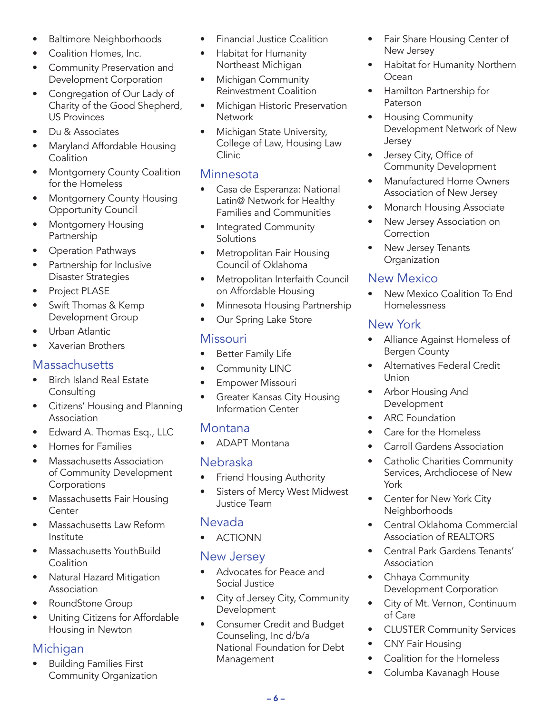- Baltimore Neighborhoods
- Coalition Homes, Inc.
- Community Preservation and Development Corporation
- Congregation of Our Lady of Charity of the Good Shepherd, US Provinces
- Du & Associates
- Maryland Affordable Housing **Coalition**
- Montgomery County Coalition for the Homeless
- Montgomery County Housing Opportunity Council
- Montgomery Housing Partnership
- Operation Pathways
- Partnership for Inclusive Disaster Strategies
- Project PLASE
- Swift Thomas & Kemp Development Group
- Urban Atlantic
- Xaverian Brothers

# **Massachusetts**

- Birch Island Real Estate Consulting
- Citizens' Housing and Planning Association
- Edward A. Thomas Esq., LLC
- Homes for Families
- Massachusetts Association of Community Development **Corporations**
- Massachusetts Fair Housing **Center**
- Massachusetts Law Reform Institute
- Massachusetts YouthBuild **Coalition**
- Natural Hazard Mitigation Association
- RoundStone Group
- Uniting Citizens for Affordable Housing in Newton

# Michigan

• Building Families First Community Organization

- Financial Justice Coalition
- Habitat for Humanity Northeast Michigan
- Michigan Community Reinvestment Coalition
- Michigan Historic Preservation **Network**
- Michigan State University, College of Law, Housing Law Clinic

#### **Minnesota**

- Casa de Esperanza: National Latin@ Network for Healthy Families and Communities
- Integrated Community **Solutions**
- Metropolitan Fair Housing Council of Oklahoma
- Metropolitan Interfaith Council on Affordable Housing
- Minnesota Housing Partnership
- Our Spring Lake Store

# **Missouri**

- **Better Family Life**
- Community LINC
- Empower Missouri
- Greater Kansas City Housing Information Center

# Montana

• ADAPT Montana

#### Nebraska

- Friend Housing Authority
- Sisters of Mercy West Midwest Justice Team

#### Nevada

• ACTIONN

#### New Jersey

- Advocates for Peace and Social Justice
- City of Jersey City, Community Development
- Consumer Credit and Budget Counseling, Inc d/b/a National Foundation for Debt Management
- Fair Share Housing Center of New Jersey
- Habitat for Humanity Northern Ocean
- Hamilton Partnership for Paterson
- Housing Community Development Network of New Jersey
- Jersey City, Office of Community Development
- Manufactured Home Owners Association of New Jersey
- Monarch Housing Associate
- New Jersey Association on **Correction**
- New Jersey Tenants **Organization**

#### New Mexico

• New Mexico Coalition To End Homelessness

#### New York

- Alliance Against Homeless of Bergen County
- Alternatives Federal Credit Union
- Arbor Housing And Development
- **ARC** Foundation
- Care for the Homeless
- Carroll Gardens Association
- Catholic Charities Community Services, Archdiocese of New York
- Center for New York City Neighborhoods
- Central Oklahoma Commercial Association of REALTORS
- Central Park Gardens Tenants' Association
- Chhaya Community Development Corporation
- City of Mt. Vernon, Continuum of Care
- CLUSTER Community Services
- CNY Fair Housing
- Coalition for the Homeless
- Columba Kavanagh House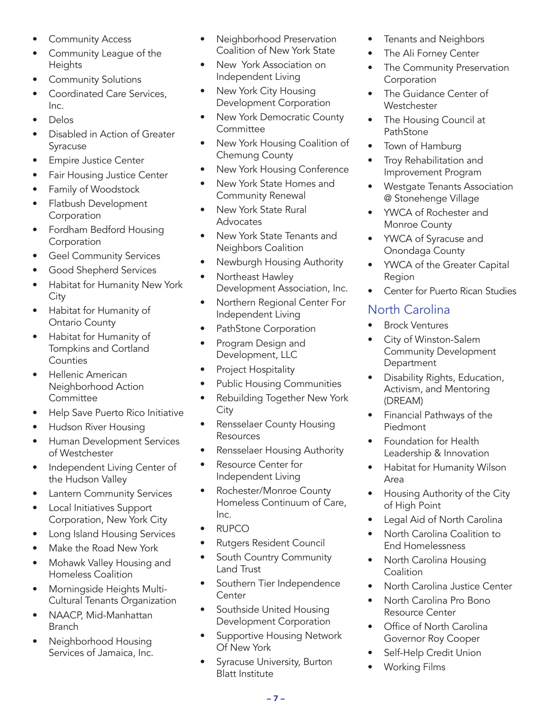- Community Access
- Community League of the **Heights**
- Community Solutions
- Coordinated Care Services, Inc.
- Delos
- Disabled in Action of Greater Syracuse
- Empire Justice Center
- Fair Housing Justice Center
- Family of Woodstock
- Flatbush Development Corporation
- Fordham Bedford Housing Corporation
- Geel Community Services
- Good Shepherd Services
- Habitat for Humanity New York City
- Habitat for Humanity of Ontario County
- Habitat for Humanity of Tompkins and Cortland **Counties**
- Hellenic American Neighborhood Action **Committee**
- Help Save Puerto Rico Initiative
- Hudson River Housing
- Human Development Services of Westchester
- Independent Living Center of the Hudson Valley
- Lantern Community Services
- Local Initiatives Support Corporation, New York City
- Long Island Housing Services
- Make the Road New York
- Mohawk Valley Housing and Homeless Coalition
- Morningside Heights Multi-Cultural Tenants Organization
- NAACP, Mid-Manhattan **Branch**
- Neighborhood Housing Services of Jamaica, Inc.
- Neighborhood Preservation Coalition of New York State
- New York Association on Independent Living
- New York City Housing Development Corporation
- New York Democratic County **Committee**
- New York Housing Coalition of Chemung County
- New York Housing Conference
- New York State Homes and Community Renewal
- New York State Rural Advocates
- New York State Tenants and Neighbors Coalition
- Newburgh Housing Authority
- Northeast Hawley Development Association, Inc.
- Northern Regional Center For Independent Living
- PathStone Corporation
- Program Design and Development, LLC
- Project Hospitality
- Public Housing Communities
- Rebuilding Together New York **City**
- Rensselaer County Housing Resources
- Rensselaer Housing Authority
- Resource Center for Independent Living
- Rochester/Monroe County Homeless Continuum of Care, Inc.
- RUPCO
- Rutgers Resident Council
- South Country Community Land Trust
- Southern Tier Independence **Center**
- Southside United Housing Development Corporation
- Supportive Housing Network Of New York
- Syracuse University, Burton Blatt Institute
- Tenants and Neighbors
- The Ali Forney Center
- The Community Preservation Corporation
- The Guidance Center of **Westchester**
- The Housing Council at PathStone
- Town of Hamburg
- Troy Rehabilitation and Improvement Program
- Westgate Tenants Association @ Stonehenge Village
- YWCA of Rochester and Monroe County
- YWCA of Syracuse and Onondaga County
- YWCA of the Greater Capital Region
- Center for Puerto Rican Studies

# North Carolina

- **Brock Ventures**
- City of Winston-Salem Community Development **Department**
- Disability Rights, Education, Activism, and Mentoring (DREAM)
- Financial Pathways of the Piedmont
- Foundation for Health Leadership & Innovation
- Habitat for Humanity Wilson Area
- Housing Authority of the City of High Point
- Legal Aid of North Carolina
- North Carolina Coalition to End Homelessness
- North Carolina Housing Coalition
- North Carolina Justice Center
- North Carolina Pro Bono Resource Center
- Office of North Carolina Governor Roy Cooper
- Self-Help Credit Union
- Working Films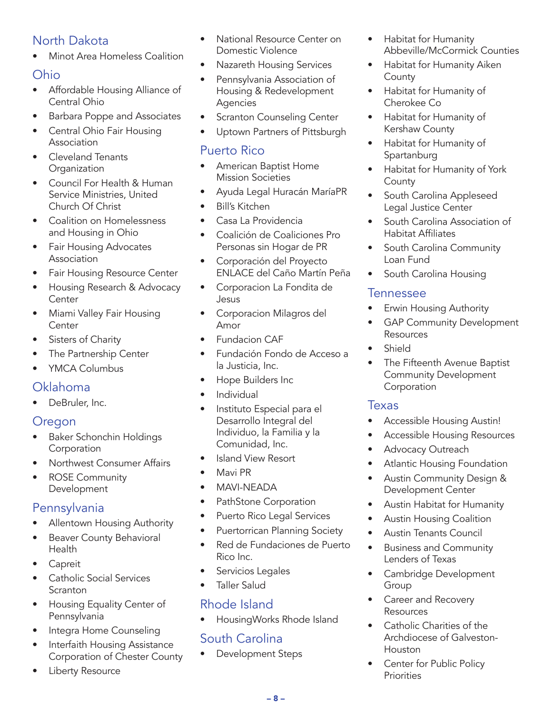# North Dakota

• Minot Area Homeless Coalition

#### Ohio

- Affordable Housing Alliance of Central Ohio
- Barbara Poppe and Associates
- Central Ohio Fair Housing Association
- Cleveland Tenants **Organization**
- Council For Health & Human Service Ministries, United Church Of Christ
- Coalition on Homelessness and Housing in Ohio
- Fair Housing Advocates Association
- Fair Housing Resource Center
- Housing Research & Advocacy **Center**
- Miami Valley Fair Housing Center
- Sisters of Charity
- The Partnership Center
- YMCA Columbus

#### Oklahoma

DeBruler, Inc.

# Oregon

- Baker Schonchin Holdings Corporation
- Northwest Consumer Affairs
- ROSE Community Development

# Pennsylvania

- Allentown Housing Authority
- Beaver County Behavioral Health
- **Capreit**
- Catholic Social Services **Scranton**
- Housing Equality Center of Pennsylvania
- Integra Home Counseling
- Interfaith Housing Assistance Corporation of Chester County
- Liberty Resource
- National Resource Center on Domestic Violence
- Nazareth Housing Services
- Pennsylvania Association of Housing & Redevelopment Agencies
- **Scranton Counseling Center**
- Uptown Partners of Pittsburgh

## Puerto Rico

- American Baptist Home Mission Societies
- Ayuda Legal Huracán MaríaPR
- Bill's Kitchen
- Casa La Providencia
- Coalición de Coaliciones Pro Personas sin Hogar de PR
- Corporación del Proyecto ENLACE del Caño Martín Peña
- Corporacion La Fondita de Jesus
- Corporacion Milagros del Amor
- Fundacion CAF
- Fundación Fondo de Acceso a la Justicia, Inc.
- Hope Builders Inc
- Individual
- Instituto Especial para el Desarrollo Integral del Individuo, la Familia y la Comunidad, Inc.
- Island View Resort
- Mavi PR
- MAVI-NEADA
- PathStone Corporation
- Puerto Rico Legal Services
- Puertorrican Planning Society
- Red de Fundaciones de Puerto Rico Inc.
- Servicios Legales
- Taller Salud

# Rhode Island

• HousingWorks Rhode Island

# South Carolina

• Development Steps

- Habitat for Humanity Abbeville/McCormick Counties
- Habitat for Humanity Aiken County
- Habitat for Humanity of Cherokee Co
- Habitat for Humanity of Kershaw County
- Habitat for Humanity of Spartanburg
- Habitat for Humanity of York **County**
- South Carolina Appleseed Legal Justice Center
- South Carolina Association of Habitat Affiliates
- South Carolina Community Loan Fund
- South Carolina Housing

#### **Tennessee**

- Erwin Housing Authority
- GAP Community Development Resources
- Shield
- The Fifteenth Avenue Baptist Community Development Corporation

#### Texas

- Accessible Housing Austin!
- Accessible Housing Resources
- Advocacy Outreach
- Atlantic Housing Foundation
- Austin Community Design & Development Center
- Austin Habitat for Humanity
- Austin Housing Coalition
- Austin Tenants Council
- Business and Community Lenders of Texas
- Cambridge Development Group
- Career and Recovery Resources
- Catholic Charities of the Archdiocese of Galveston-Houston
- **Center for Public Policy Priorities**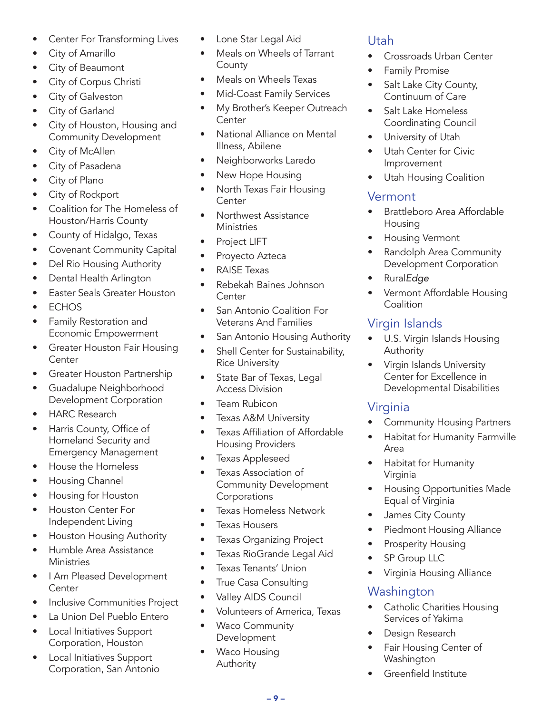- Center For Transforming Lives
- City of Amarillo
- City of Beaumont
- City of Corpus Christi
- City of Galveston
- City of Garland
- City of Houston, Housing and Community Development
- City of McAllen
- City of Pasadena
- City of Plano
- City of Rockport
- Coalition for The Homeless of Houston/Harris County
- County of Hidalgo, Texas
- Covenant Community Capital
- Del Rio Housing Authority
- Dental Health Arlington
- Easter Seals Greater Houston
- ECHOS
- Family Restoration and Economic Empowerment
- Greater Houston Fair Housing Center
- Greater Houston Partnership
- Guadalupe Neighborhood Development Corporation
- HARC Research
- Harris County, Office of Homeland Security and Emergency Management
- House the Homeless
- Housing Channel
- Housing for Houston
- Houston Center For Independent Living
- Houston Housing Authority
- Humble Area Assistance **Ministries**
- I Am Pleased Development **Center**
- Inclusive Communities Project
- La Union Del Pueblo Entero
- Local Initiatives Support Corporation, Houston
- Local Initiatives Support Corporation, San Antonio
- Lone Star Legal Aid
- Meals on Wheels of Tarrant **County**
- Meals on Wheels Texas
- Mid-Coast Family Services
- My Brother's Keeper Outreach **Center**
- National Alliance on Mental Illness, Abilene
- Neighborworks Laredo
- New Hope Housing
- North Texas Fair Housing **Center**
- Northwest Assistance **Ministries**
- Project LIFT
- Proyecto Azteca
- RAISE Texas
- Rebekah Baines Johnson **Center**
- San Antonio Coalition For Veterans And Families
- San Antonio Housing Authority
- Shell Center for Sustainability, Rice University
- State Bar of Texas, Legal Access Division
- Team Rubicon
- Texas A&M University
- Texas Affiliation of Affordable Housing Providers
- Texas Appleseed
- Texas Association of Community Development Corporations
- Texas Homeless Network
- Texas Housers
- Texas Organizing Project
- Texas RioGrande Legal Aid
- Texas Tenants' Union
- True Casa Consulting
- Valley AIDS Council
- Volunteers of America, Texas

– 9 –

- Waco Community Development
- Waco Housing Authority

# Utah

- Crossroads Urban Center
- Family Promise
- Salt Lake City County, Continuum of Care
- Salt Lake Homeless Coordinating Council
- University of Utah
- Utah Center for Civic Improvement
- Utah Housing Coalition

# Vermont

- Brattleboro Area Affordable Housing
- **Housing Vermont**
- Randolph Area Community Development Corporation
- Rural*Edge*
- Vermont Affordable Housing **Coalition**

# Virgin Islands

- U.S. Virgin Islands Housing **Authority**
- Virgin Islands University Center for Excellence in Developmental Disabilities

# Virginia

- Community Housing Partners
- Habitat for Humanity Farmville Area
- Habitat for Humanity Virginia
- Housing Opportunities Made Equal of Virginia
- James City County
- Piedmont Housing Alliance
- Prosperity Housing
- SP Group LLC
- Virginia Housing Alliance

# Washington

- Catholic Charities Housing Services of Yakima
- Design Research
- Fair Housing Center of **Washington**
- Greenfield Institute